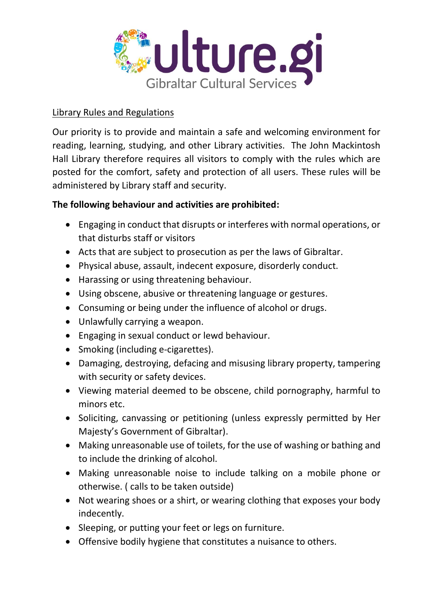

## Library Rules and Regulations

Our priority is to provide and maintain a safe and welcoming environment for reading, learning, studying, and other Library activities. The John Mackintosh Hall Library therefore requires all visitors to comply with the rules which are posted for the comfort, safety and protection of all users. These rules will be administered by Library staff and security.

## **The following behaviour and activities are prohibited:**

- Engaging in conduct that disrupts or interferes with normal operations, or that disturbs staff or visitors
- Acts that are subject to prosecution as per the laws of Gibraltar.
- Physical abuse, assault, indecent exposure, disorderly conduct.
- Harassing or using threatening behaviour.
- Using obscene, abusive or threatening language or gestures.
- Consuming or being under the influence of alcohol or drugs.
- Unlawfully carrying a weapon.
- Engaging in sexual conduct or lewd behaviour.
- Smoking (including e-cigarettes).
- Damaging, destroying, defacing and misusing library property, tampering with security or safety devices.
- Viewing material deemed to be obscene, child pornography, harmful to minors etc.
- Soliciting, canvassing or petitioning (unless expressly permitted by Her Majesty's Government of Gibraltar).
- Making unreasonable use of toilets, for the use of washing or bathing and to include the drinking of alcohol.
- Making unreasonable noise to include talking on a mobile phone or otherwise. ( calls to be taken outside)
- Not wearing shoes or a shirt, or wearing clothing that exposes your body indecently.
- Sleeping, or putting your feet or legs on furniture.
- Offensive bodily hygiene that constitutes a nuisance to others.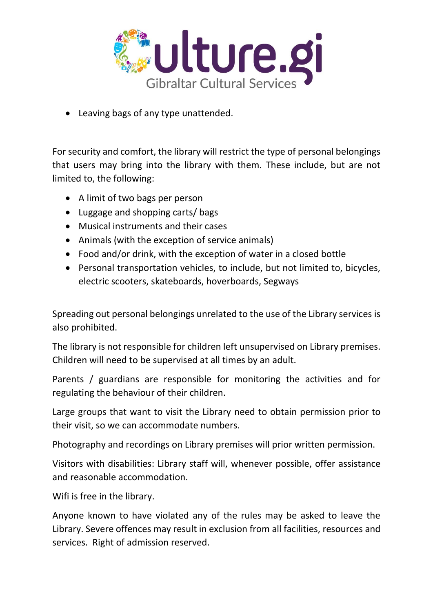

• Leaving bags of any type unattended.

For security and comfort, the library will restrict the type of personal belongings that users may bring into the library with them. These include, but are not limited to, the following:

- A limit of two bags per person
- Luggage and shopping carts/ bags
- Musical instruments and their cases
- Animals (with the exception of service animals)
- Food and/or drink, with the exception of water in a closed bottle
- Personal transportation vehicles, to include, but not limited to, bicycles, electric scooters, skateboards, hoverboards, Segways

Spreading out personal belongings unrelated to the use of the Library services is also prohibited.

The library is not responsible for children left unsupervised on Library premises. Children will need to be supervised at all times by an adult.

Parents / guardians are responsible for monitoring the activities and for regulating the behaviour of their children.

Large groups that want to visit the Library need to obtain permission prior to their visit, so we can accommodate numbers.

Photography and recordings on Library premises will prior written permission.

Visitors with disabilities: Library staff will, whenever possible, offer assistance and reasonable accommodation.

Wifi is free in the library.

Anyone known to have violated any of the rules may be asked to leave the Library. Severe offences may result in exclusion from all facilities, resources and services. Right of admission reserved.